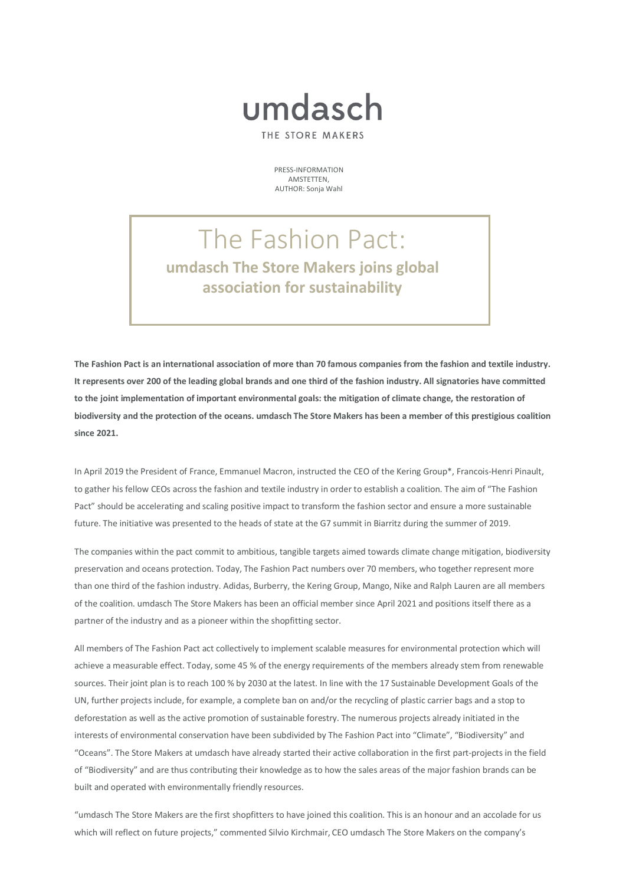## umdasch

THE STORE MAKERS

PRESS-INFORMATION AMSTETTEN, AUTHOR: Sonja Wahl

## The Fashion Pact: **umdasch The Store Makers joins global association for sustainability**

**The Fashion Pact is an international association of more than 70 famous companies from the fashion and textile industry. It represents over 200 of the leading global brands and one third of the fashion industry. All signatories have committed**  to the joint implementation of important environmental goals: the mitigation of climate change, the restoration of **biodiversity and the protection of the oceans. umdasch The Store Makers has been a member of this prestigious coalition since 2021.** 

In April 2019 the President of France, Emmanuel Macron, instructed the CEO of the Kering Group\*, Francois-Henri Pinault, to gather his fellow CEOs across the fashion and textile industry in order to establish a coalition. The aim of "The Fashion Pact" should be accelerating and scaling positive impact to transform the fashion sector and ensure a more sustainable future. The initiative was presented to the heads of state at the G7 summit in Biarritz during the summer of 2019.

The companies within the pact commit to ambitious, tangible targets aimed towards climate change mitigation, biodiversity preservation and oceans protection. Today, The Fashion Pact numbers over 70 members, who together represent more than one third of the fashion industry. Adidas, Burberry, the Kering Group, Mango, Nike and Ralph Lauren are all members of the coalition. umdasch The Store Makers has been an official member since April 2021 and positions itself there as a partner of the industry and as a pioneer within the shopfitting sector.

All members of The Fashion Pact act collectively to implement scalable measures for environmental protection which will achieve a measurable effect. Today, some 45 % of the energy requirements of the members already stem from renewable sources. Their joint plan is to reach 100 % by 2030 at the latest. In line with the 17 Sustainable Development Goals of the UN, further projects include, for example, a complete ban on and/or the recycling of plastic carrier bags and a stop to deforestation as well as the active promotion of sustainable forestry. The numerous projects already initiated in the interests of environmental conservation have been subdivided by The Fashion Pact into "Climate", "Biodiversity" and "Oceans". The Store Makers at umdasch have already started their active collaboration in the first part-projects in the field of "Biodiversity" and are thus contributing their knowledge as to how the sales areas of the major fashion brands can be built and operated with environmentally friendly resources.

"umdasch The Store Makers are the first shopfitters to have joined this coalition. This is an honour and an accolade for us which will reflect on future projects," commented Silvio Kirchmair, CEO umdasch The Store Makers on the company's